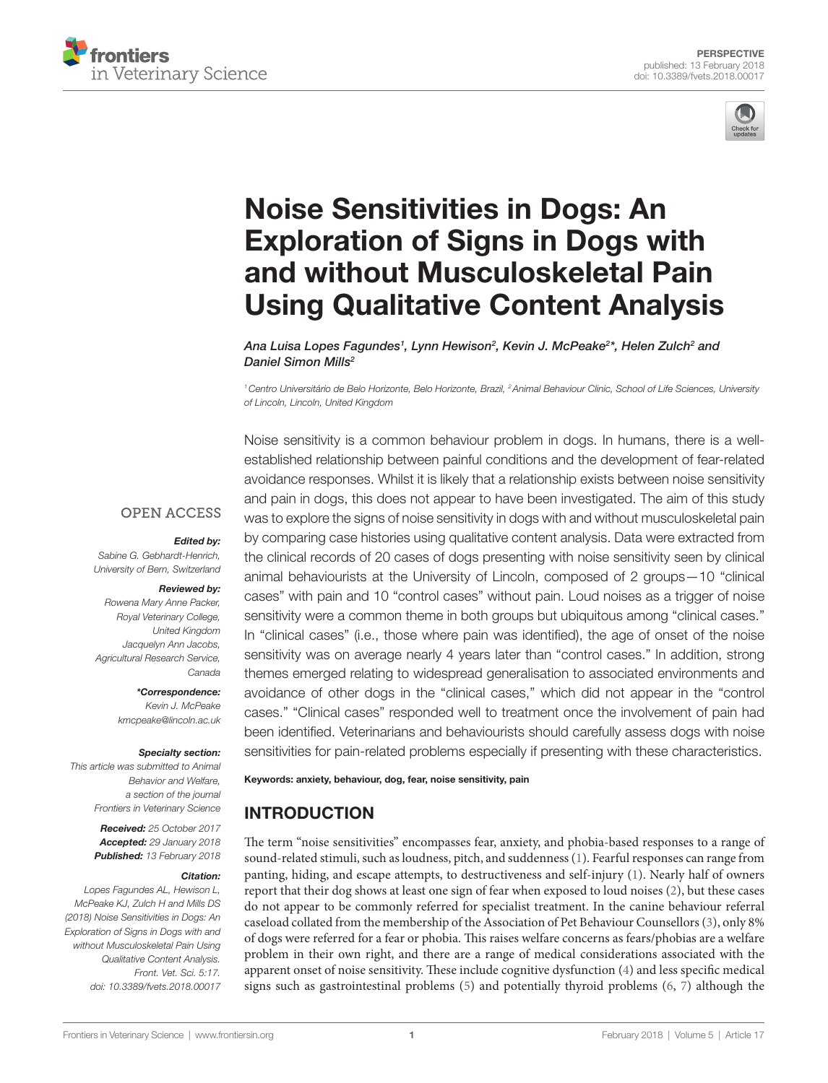



# **Noise Sensitivities in Dogs: An Exploration of Signs in Dogs with** [and without Musculoskeletal Pain](https://www.frontiersin.org/Journal/10.3389/fvets.2018.00017/full)  **Using Qualitative Content Analysis**

*[Ana Luisa Lopes Fagundes](http://loop.frontiersin.org/people/517549)1 , Lynn Hewison2 , [Kevin J. McPeake2](http://loop.frontiersin.org/people/491198) \*, Helen Zulch2 and [Daniel Simon Mills](http://loop.frontiersin.org/people/256380)2*

*1Centro Universitário de Belo Horizonte, Belo Horizonte, Brazil, 2Animal Behaviour Clinic, School of Life Sciences, University of Lincoln, Lincoln, United Kingdom*

**OPEN ACCESS** 

#### *Edited by:*

*Sabine G. Gebhardt-Henrich, University of Bern, Switzerland*

#### *Reviewed by:*

*Rowena Mary Anne Packer, Royal Veterinary College, United Kingdom Jacquelyn Ann Jacobs, Agricultural Research Service, Canada*

> *\*Correspondence: Kevin J. McPeake [kmcpeake@lincoln.ac.uk](mailto:kmcpeake@lincoln.ac.uk)*

#### *Specialty section:*

*This article was submitted to Animal Behavior and Welfare, a section of the journal Frontiers in Veterinary Science*

> *Received: 25 October 2017 Accepted: 29 January 2018 Published: 13 February 2018*

#### *Citation:*

*Lopes Fagundes AL, Hewison L, McPeake KJ, Zulch H and Mills DS (2018) Noise Sensitivities in Dogs: An Exploration of Signs in Dogs with and without Musculoskeletal Pain Using Qualitative Content Analysis. Front. Vet. Sci. 5:17. doi: [10.3389/fvets.2018.00017](https://doi.org/10.3389/fvets.2018.00017)*

Noise sensitivity is a common behaviour problem in dogs. In humans, there is a wellestablished relationship between painful conditions and the development of fear-related avoidance responses. Whilst it is likely that a relationship exists between noise sensitivity and pain in dogs, this does not appear to have been investigated. The aim of this study was to explore the signs of noise sensitivity in dogs with and without musculoskeletal pain by comparing case histories using qualitative content analysis. Data were extracted from the clinical records of 20 cases of dogs presenting with noise sensitivity seen by clinical animal behaviourists at the University of Lincoln, composed of 2 groups—10 "clinical cases" with pain and 10 "control cases" without pain. Loud noises as a trigger of noise sensitivity were a common theme in both groups but ubiquitous among "clinical cases." In "clinical cases" (i.e., those where pain was identified), the age of onset of the noise sensitivity was on average nearly 4 years later than "control cases." In addition, strong themes emerged relating to widespread generalisation to associated environments and avoidance of other dogs in the "clinical cases," which did not appear in the "control cases." "Clinical cases" responded well to treatment once the involvement of pain had been identified. Veterinarians and behaviourists should carefully assess dogs with noise sensitivities for pain-related problems especially if presenting with these characteristics.

#### Keywords: anxiety, behaviour, dog, fear, noise sensitivity, pain

### INTRODUCTION

The term "noise sensitivities" encompasses fear, anxiety, and phobia-based responses to a range of sound-related stimuli, such as loudness, pitch, and suddenness [\(1\)](#page-4-0). Fearful responses can range from panting, hiding, and escape attempts, to destructiveness and self-injury ([1](#page-4-0)). Nearly half of owners report that their dog shows at least one sign of fear when exposed to loud noises [\(2\)](#page-4-1), but these cases do not appear to be commonly referred for specialist treatment. In the canine behaviour referral caseload collated from the membership of the Association of Pet Behaviour Counsellors [\(3\)](#page-4-2), only 8% of dogs were referred for a fear or phobia. This raises welfare concerns as fears/phobias are a welfare problem in their own right, and there are a range of medical considerations associated with the apparent onset of noise sensitivity. These include cognitive dysfunction [\(4\)](#page-4-3) and less specific medical signs such as gastrointestinal problems  $(5)$  $(5)$  $(5)$  and potentially thyroid problems  $(6, 7)$  $(6, 7)$  $(6, 7)$  $(6, 7)$  $(6, 7)$  although the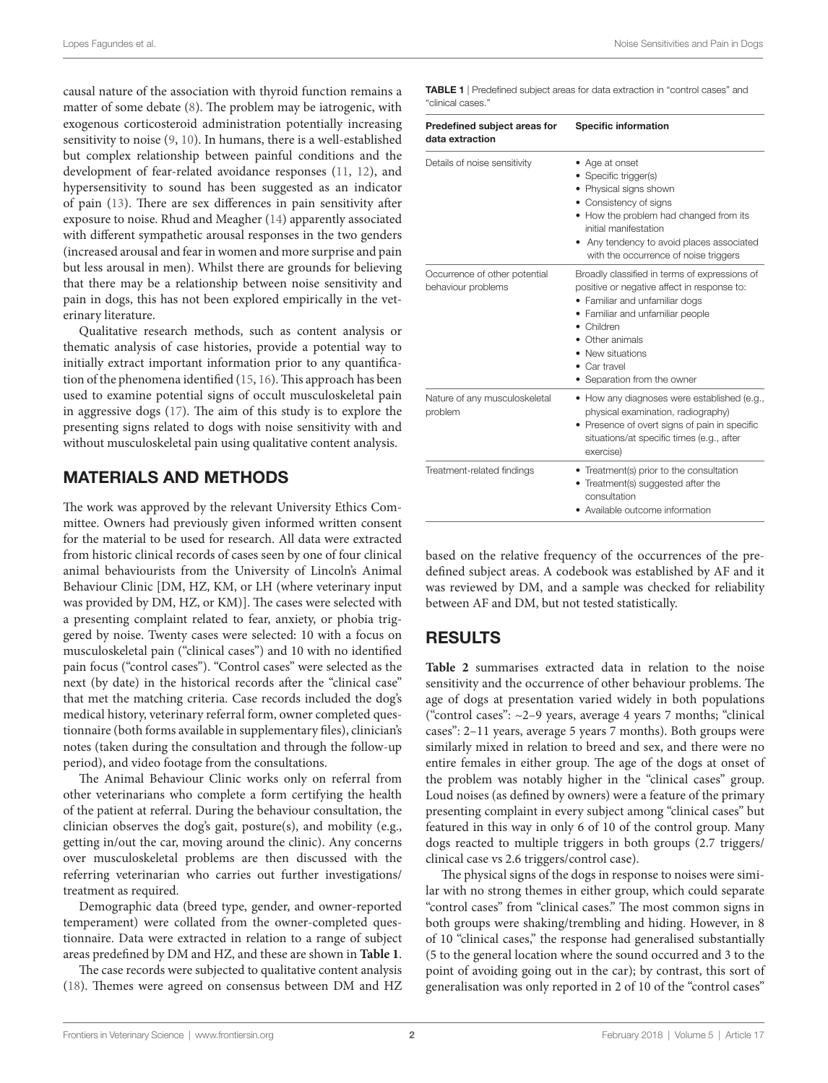causal nature of the association with thyroid function remains a matter of some debate ([8](#page-4-7)). The problem may be iatrogenic, with exogenous corticosteroid administration potentially increasing sensitivity to noise [\(9,](#page-4-8) [10](#page-4-9)). In humans, there is a well-established but complex relationship between painful conditions and the development of fear-related avoidance responses ([11,](#page-4-10) [12\)](#page-4-11), and hypersensitivity to sound has been suggested as an indicator of pain [\(13](#page-4-12)). There are sex differences in pain sensitivity after exposure to noise. Rhud and Meagher ([14](#page-4-13)) apparently associated with different sympathetic arousal responses in the two genders (increased arousal and fear in women and more surprise and pain but less arousal in men). Whilst there are grounds for believing that there may be a relationship between noise sensitivity and pain in dogs, this has not been explored empirically in the veterinary literature.

Qualitative research methods, such as content analysis or thematic analysis of case histories, provide a potential way to initially extract important information prior to any quantification of the phenomena identified ([15](#page-4-14), [16\)](#page-4-15). This approach has been used to examine potential signs of occult musculoskeletal pain in aggressive dogs ([17](#page-4-16)). The aim of this study is to explore the presenting signs related to dogs with noise sensitivity with and without musculoskeletal pain using qualitative content analysis.

# MATERIALS AND METHODS

The work was approved by the relevant University Ethics Committee. Owners had previously given informed written consent for the material to be used for research. All data were extracted from historic clinical records of cases seen by one of four clinical animal behaviourists from the University of Lincoln's Animal Behaviour Clinic [DM, HZ, KM, or LH (where veterinary input was provided by DM, HZ, or KM)]. The cases were selected with a presenting complaint related to fear, anxiety, or phobia triggered by noise. Twenty cases were selected: 10 with a focus on musculoskeletal pain ("clinical cases") and 10 with no identified pain focus ("control cases"). "Control cases" were selected as the next (by date) in the historical records after the "clinical case" that met the matching criteria. Case records included the dog's medical history, veterinary referral form, owner completed questionnaire (both forms available in supplementary files), clinician's notes (taken during the consultation and through the follow-up period), and video footage from the consultations.

The Animal Behaviour Clinic works only on referral from other veterinarians who complete a form certifying the health of the patient at referral. During the behaviour consultation, the clinician observes the dog's gait, posture(s), and mobility (e.g., getting in/out the car, moving around the clinic). Any concerns over musculoskeletal problems are then discussed with the referring veterinarian who carries out further investigations/ treatment as required.

Demographic data (breed type, gender, and owner-reported temperament) were collated from the owner-completed questionnaire. Data were extracted in relation to a range of subject areas predefined by DM and HZ, and these are shown in **[Table 1](#page-1-0)**.

The case records were subjected to qualitative content analysis ([18\)](#page-4-17). Themes were agreed on consensus between DM and HZ <span id="page-1-0"></span>TABLE 1 | Predefined subject areas for data extraction in "control cases" and "clinical cases."

| Predefined subject areas for<br>data extraction     | <b>Specific information</b><br>• Age at onset<br>Specific trigger(s)<br>• Physical signs shown<br>• Consistency of signs<br>• How the problem had changed from its<br>initial manifestation<br>Any tendency to avoid places associated<br>with the occurrence of noise triggers<br>Broadly classified in terms of expressions of<br>positive or negative affect in response to:<br>• Familiar and unfamiliar dogs<br>• Familiar and unfamiliar people<br>$\bullet$ Children<br>Other animals<br>• New situations<br>Car travel<br>• Separation from the owner |  |
|-----------------------------------------------------|---------------------------------------------------------------------------------------------------------------------------------------------------------------------------------------------------------------------------------------------------------------------------------------------------------------------------------------------------------------------------------------------------------------------------------------------------------------------------------------------------------------------------------------------------------------|--|
| Details of noise sensitivity                        |                                                                                                                                                                                                                                                                                                                                                                                                                                                                                                                                                               |  |
| Occurrence of other potential<br>behaviour problems |                                                                                                                                                                                                                                                                                                                                                                                                                                                                                                                                                               |  |
| Nature of any musculoskeletal<br>problem            | • How any diagnoses were established (e.g.,<br>physical examination, radiography)<br>• Presence of overt signs of pain in specific<br>situations/at specific times (e.g., after<br>exercise)                                                                                                                                                                                                                                                                                                                                                                  |  |
| Treatment-related findings                          | • Treatment(s) prior to the consultation<br>• Treatment(s) suggested after the<br>consultation<br>• Available outcome information                                                                                                                                                                                                                                                                                                                                                                                                                             |  |

based on the relative frequency of the occurrences of the predefined subject areas. A codebook was established by AF and it was reviewed by DM, and a sample was checked for reliability between AF and DM, but not tested statistically.

### RESULTS

Table 2 summarises extracted data in relation to the noise sensitivity and the occurrence of other behaviour problems. The age of dogs at presentation varied widely in both populations ("control cases": ~2–9 years, average 4 years 7 months; "clinical cases": 2–11 years, average 5 years 7 months). Both groups were similarly mixed in relation to breed and sex, and there were no entire females in either group. The age of the dogs at onset of the problem was notably higher in the "clinical cases" group. Loud noises (as defined by owners) were a feature of the primary presenting complaint in every subject among "clinical cases" but featured in this way in only 6 of 10 of the control group. Many dogs reacted to multiple triggers in both groups (2.7 triggers/ clinical case vs 2.6 triggers/control case).

The physical signs of the dogs in response to noises were similar with no strong themes in either group, which could separate "control cases" from "clinical cases." The most common signs in both groups were shaking/trembling and hiding. However, in 8 of 10 "clinical cases," the response had generalised substantially (5 to the general location where the sound occurred and 3 to the point of avoiding going out in the car); by contrast, this sort of generalisation was only reported in 2 of 10 of the "control cases"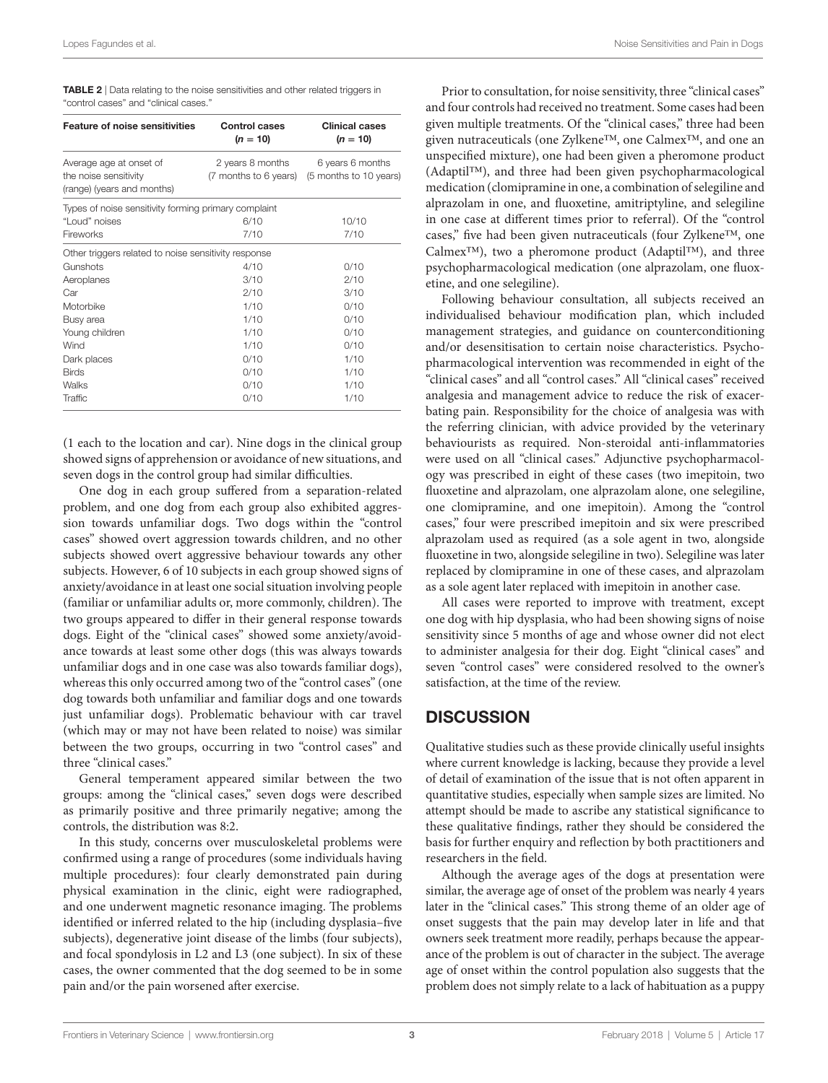<span id="page-2-0"></span>TABLE 2 | Data relating to the noise sensitivities and other related triggers in "control cases" and "clinical cases."

| <b>Feature of noise sensitivities</b>                                          | <b>Control cases</b><br>$(n = 10)$        | <b>Clinical cases</b><br>$(n = 10)$        |
|--------------------------------------------------------------------------------|-------------------------------------------|--------------------------------------------|
| Average age at onset of<br>the noise sensitivity<br>(range) (years and months) | 2 years 8 months<br>(7 months to 6 years) | 6 years 6 months<br>(5 months to 10 years) |
| Types of noise sensitivity forming primary complaint                           |                                           |                                            |
| "Loud" noises                                                                  | 6/10                                      | 10/10                                      |
| Fireworks                                                                      | 7/10                                      | 7/10                                       |
| Other triggers related to noise sensitivity response                           |                                           |                                            |
| Gunshots                                                                       | 4/10                                      | 0/10                                       |
| Aeroplanes                                                                     | 3/10                                      | 2/10                                       |
| Car                                                                            | 2/10                                      | 3/10                                       |
| Motorbike                                                                      | 1/10                                      | 0/10                                       |
| Busy area                                                                      | 1/10                                      | 0/10                                       |
| Young children                                                                 | 1/10                                      | 0/10                                       |
| Wind                                                                           | 1/10                                      | 0/10                                       |
| Dark places                                                                    | 0/10                                      | 1/10                                       |
| <b>Birds</b>                                                                   | 0/10                                      | 1/10                                       |
| Walks                                                                          | 0/10                                      | 1/10                                       |
| Traffic                                                                        | 0/10                                      | 1/10                                       |

(1 each to the location and car). Nine dogs in the clinical group showed signs of apprehension or avoidance of new situations, and seven dogs in the control group had similar difficulties.

One dog in each group suffered from a separation-related problem, and one dog from each group also exhibited aggression towards unfamiliar dogs. Two dogs within the "control cases" showed overt aggression towards children, and no other subjects showed overt aggressive behaviour towards any other subjects. However, 6 of 10 subjects in each group showed signs of anxiety/avoidance in at least one social situation involving people (familiar or unfamiliar adults or, more commonly, children). The two groups appeared to differ in their general response towards dogs. Eight of the "clinical cases" showed some anxiety/avoidance towards at least some other dogs (this was always towards unfamiliar dogs and in one case was also towards familiar dogs), whereas this only occurred among two of the "control cases" (one dog towards both unfamiliar and familiar dogs and one towards just unfamiliar dogs). Problematic behaviour with car travel (which may or may not have been related to noise) was similar between the two groups, occurring in two "control cases" and three "clinical cases."

General temperament appeared similar between the two groups: among the "clinical cases," seven dogs were described as primarily positive and three primarily negative; among the controls, the distribution was 8:2.

In this study, concerns over musculoskeletal problems were confirmed using a range of procedures (some individuals having multiple procedures): four clearly demonstrated pain during physical examination in the clinic, eight were radiographed, and one underwent magnetic resonance imaging. The problems identified or inferred related to the hip (including dysplasia–five subjects), degenerative joint disease of the limbs (four subjects), and focal spondylosis in L2 and L3 (one subject). In six of these cases, the owner commented that the dog seemed to be in some pain and/or the pain worsened after exercise.

Prior to consultation, for noise sensitivity, three "clinical cases" and four controls had received no treatment. Some cases had been given multiple treatments. Of the "clinical cases," three had been given nutraceuticals (one Zylkene™, one Calmex™, and one an unspecified mixture), one had been given a pheromone product (Adaptil™), and three had been given psychopharmacological medication (clomipramine in one, a combination of selegiline and alprazolam in one, and fluoxetine, amitriptyline, and selegiline in one case at different times prior to referral). Of the "control cases," five had been given nutraceuticals (four Zylkene™, one Calmex™), two a pheromone product (Adaptil™), and three psychopharmacological medication (one alprazolam, one fluoxetine, and one selegiline).

Following behaviour consultation, all subjects received an individualised behaviour modification plan, which included management strategies, and guidance on counterconditioning and/or desensitisation to certain noise characteristics. Psychopharmacological intervention was recommended in eight of the "clinical cases" and all "control cases." All "clinical cases" received analgesia and management advice to reduce the risk of exacerbating pain. Responsibility for the choice of analgesia was with the referring clinician, with advice provided by the veterinary behaviourists as required. Non-steroidal anti-inflammatories were used on all "clinical cases." Adjunctive psychopharmacology was prescribed in eight of these cases (two imepitoin, two fluoxetine and alprazolam, one alprazolam alone, one selegiline, one clomipramine, and one imepitoin). Among the "control cases," four were prescribed imepitoin and six were prescribed alprazolam used as required (as a sole agent in two, alongside fluoxetine in two, alongside selegiline in two). Selegiline was later replaced by clomipramine in one of these cases, and alprazolam as a sole agent later replaced with imepitoin in another case.

All cases were reported to improve with treatment, except one dog with hip dysplasia, who had been showing signs of noise sensitivity since 5 months of age and whose owner did not elect to administer analgesia for their dog. Eight "clinical cases" and seven "control cases" were considered resolved to the owner's satisfaction, at the time of the review.

### **DISCUSSION**

Qualitative studies such as these provide clinically useful insights where current knowledge is lacking, because they provide a level of detail of examination of the issue that is not often apparent in quantitative studies, especially when sample sizes are limited. No attempt should be made to ascribe any statistical significance to these qualitative findings, rather they should be considered the basis for further enquiry and reflection by both practitioners and researchers in the field.

Although the average ages of the dogs at presentation were similar, the average age of onset of the problem was nearly 4 years later in the "clinical cases." This strong theme of an older age of onset suggests that the pain may develop later in life and that owners seek treatment more readily, perhaps because the appearance of the problem is out of character in the subject. The average age of onset within the control population also suggests that the problem does not simply relate to a lack of habituation as a puppy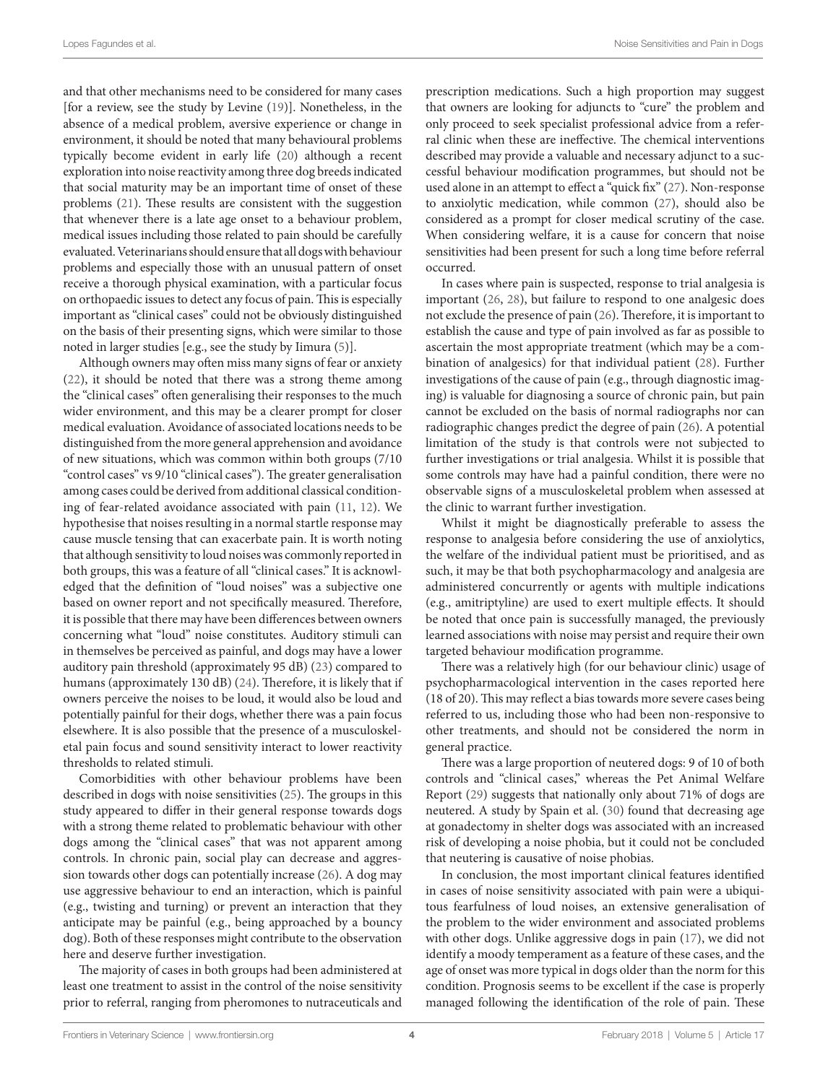and that other mechanisms need to be considered for many cases [for a review, see the study by Levine [\(19](#page-4-18))]. Nonetheless, in the absence of a medical problem, aversive experience or change in environment, it should be noted that many behavioural problems typically become evident in early life [\(20](#page-4-19)) although a recent exploration into noise reactivity among three dog breeds indicated that social maturity may be an important time of onset of these problems [\(21](#page-4-20)). These results are consistent with the suggestion that whenever there is a late age onset to a behaviour problem, medical issues including those related to pain should be carefully evaluated. Veterinarians should ensure that all dogs with behaviour problems and especially those with an unusual pattern of onset receive a thorough physical examination, with a particular focus on orthopaedic issues to detect any focus of pain. This is especially important as "clinical cases" could not be obviously distinguished on the basis of their presenting signs, which were similar to those noted in larger studies [e.g., see the study by Iimura [\(5\)](#page-4-4)].

Although owners may often miss many signs of fear or anxiety ([22\)](#page-4-21), it should be noted that there was a strong theme among the "clinical cases" often generalising their responses to the much wider environment, and this may be a clearer prompt for closer medical evaluation. Avoidance of associated locations needs to be distinguished from the more general apprehension and avoidance of new situations, which was common within both groups (7/10 "control cases" vs 9/10 "clinical cases"). The greater generalisation among cases could be derived from additional classical conditioning of fear-related avoidance associated with pain ([11,](#page-4-10) [12](#page-4-11)). We hypothesise that noises resulting in a normal startle response may cause muscle tensing that can exacerbate pain. It is worth noting that although sensitivity to loud noises was commonly reported in both groups, this was a feature of all "clinical cases." It is acknowledged that the definition of "loud noises" was a subjective one based on owner report and not specifically measured. Therefore, it is possible that there may have been differences between owners concerning what "loud" noise constitutes. Auditory stimuli can in themselves be perceived as painful, and dogs may have a lower auditory pain threshold (approximately 95 dB) ([23](#page-4-22)) compared to humans (approximately 130 dB) [\(24](#page-4-23)). Therefore, it is likely that if owners perceive the noises to be loud, it would also be loud and potentially painful for their dogs, whether there was a pain focus elsewhere. It is also possible that the presence of a musculoskeletal pain focus and sound sensitivity interact to lower reactivity thresholds to related stimuli.

Comorbidities with other behaviour problems have been described in dogs with noise sensitivities [\(25](#page-4-24)). The groups in this study appeared to differ in their general response towards dogs with a strong theme related to problematic behaviour with other dogs among the "clinical cases" that was not apparent among controls. In chronic pain, social play can decrease and aggression towards other dogs can potentially increase ([26\)](#page-4-25). A dog may use aggressive behaviour to end an interaction, which is painful (e.g., twisting and turning) or prevent an interaction that they anticipate may be painful (e.g., being approached by a bouncy dog). Both of these responses might contribute to the observation here and deserve further investigation.

The majority of cases in both groups had been administered at least one treatment to assist in the control of the noise sensitivity prior to referral, ranging from pheromones to nutraceuticals and

prescription medications. Such a high proportion may suggest that owners are looking for adjuncts to "cure" the problem and only proceed to seek specialist professional advice from a referral clinic when these are ineffective. The chemical interventions described may provide a valuable and necessary adjunct to a successful behaviour modification programmes, but should not be used alone in an attempt to effect a "quick fix" [\(27](#page-4-26)). Non-response to anxiolytic medication, while common ([27\)](#page-4-26), should also be considered as a prompt for closer medical scrutiny of the case. When considering welfare, it is a cause for concern that noise sensitivities had been present for such a long time before referral occurred.

In cases where pain is suspected, response to trial analgesia is important ([26,](#page-4-25) [28\)](#page-4-27), but failure to respond to one analgesic does not exclude the presence of pain ([26\)](#page-4-25). Therefore, it is important to establish the cause and type of pain involved as far as possible to ascertain the most appropriate treatment (which may be a combination of analgesics) for that individual patient [\(28](#page-4-27)). Further investigations of the cause of pain (e.g., through diagnostic imaging) is valuable for diagnosing a source of chronic pain, but pain cannot be excluded on the basis of normal radiographs nor can radiographic changes predict the degree of pain ([26\)](#page-4-25). A potential limitation of the study is that controls were not subjected to further investigations or trial analgesia. Whilst it is possible that some controls may have had a painful condition, there were no observable signs of a musculoskeletal problem when assessed at the clinic to warrant further investigation.

Whilst it might be diagnostically preferable to assess the response to analgesia before considering the use of anxiolytics, the welfare of the individual patient must be prioritised, and as such, it may be that both psychopharmacology and analgesia are administered concurrently or agents with multiple indications (e.g., amitriptyline) are used to exert multiple effects. It should be noted that once pain is successfully managed, the previously learned associations with noise may persist and require their own targeted behaviour modification programme.

There was a relatively high (for our behaviour clinic) usage of psychopharmacological intervention in the cases reported here (18 of 20). This may reflect a bias towards more severe cases being referred to us, including those who had been non-responsive to other treatments, and should not be considered the norm in general practice.

There was a large proportion of neutered dogs: 9 of 10 of both controls and "clinical cases," whereas the Pet Animal Welfare Report [\(29](#page-4-28)) suggests that nationally only about 71% of dogs are neutered. A study by Spain et al. ([30\)](#page-4-29) found that decreasing age at gonadectomy in shelter dogs was associated with an increased risk of developing a noise phobia, but it could not be concluded that neutering is causative of noise phobias.

In conclusion, the most important clinical features identified in cases of noise sensitivity associated with pain were a ubiquitous fearfulness of loud noises, an extensive generalisation of the problem to the wider environment and associated problems with other dogs. Unlike aggressive dogs in pain [\(17](#page-4-16)), we did not identify a moody temperament as a feature of these cases, and the age of onset was more typical in dogs older than the norm for this condition. Prognosis seems to be excellent if the case is properly managed following the identification of the role of pain. These